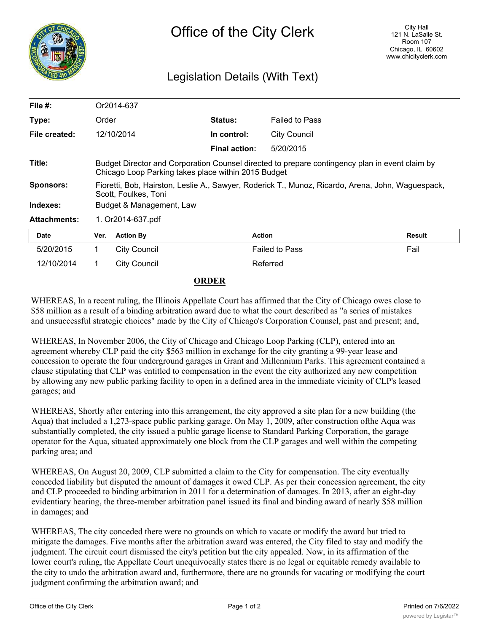

## Legislation Details (With Text)

| File $#$ :          | Or2014-637                                                                                                                                            |                  |                      |                       |        |
|---------------------|-------------------------------------------------------------------------------------------------------------------------------------------------------|------------------|----------------------|-----------------------|--------|
| Type:               | Order                                                                                                                                                 |                  | <b>Status:</b>       | <b>Failed to Pass</b> |        |
| File created:       |                                                                                                                                                       | 12/10/2014       | In control:          | City Council          |        |
|                     |                                                                                                                                                       |                  | <b>Final action:</b> | 5/20/2015             |        |
| Title:              | Budget Director and Corporation Counsel directed to prepare contingency plan in event claim by<br>Chicago Loop Parking takes place within 2015 Budget |                  |                      |                       |        |
| <b>Sponsors:</b>    | Fioretti, Bob, Hairston, Leslie A., Sawyer, Roderick T., Munoz, Ricardo, Arena, John, Waguespack,<br>Scott, Foulkes, Toni                             |                  |                      |                       |        |
| Indexes:            | Budget & Management, Law                                                                                                                              |                  |                      |                       |        |
| <b>Attachments:</b> | 1. Or2014-637.pdf                                                                                                                                     |                  |                      |                       |        |
| <b>Date</b>         | Ver.                                                                                                                                                  | <b>Action By</b> |                      | <b>Action</b>         | Result |
| 5/20/2015           | 1.                                                                                                                                                    | City Council     |                      | <b>Failed to Pass</b> | Fail   |
| 12/10/2014          | 1.                                                                                                                                                    | City Council     |                      | Referred              |        |

## **ORDER**

WHEREAS, In a recent ruling, the Illinois Appellate Court has affirmed that the City of Chicago owes close to \$58 million as a result of a binding arbitration award due to what the court described as "a series of mistakes and unsuccessful strategic choices" made by the City of Chicago's Corporation Counsel, past and present; and,

WHEREAS, In November 2006, the City of Chicago and Chicago Loop Parking (CLP), entered into an agreement whereby CLP paid the city \$563 million in exchange for the city granting a 99-year lease and concession to operate the four underground garages in Grant and Millennium Parks. This agreement contained a clause stipulating that CLP was entitled to compensation in the event the city authorized any new competition by allowing any new public parking facility to open in a defined area in the immediate vicinity of CLP's leased garages; and

WHEREAS, Shortly after entering into this arrangement, the city approved a site plan for a new building (the Aqua) that included a 1,273-space public parking garage. On May 1, 2009, after construction ofthe Aqua was substantially completed, the city issued a public garage license to Standard Parking Corporation, the garage operator for the Aqua, situated approximately one block from the CLP garages and well within the competing parking area; and

WHEREAS, On August 20, 2009, CLP submitted a claim to the City for compensation. The city eventually conceded liability but disputed the amount of damages it owed CLP. As per their concession agreement, the city and CLP proceeded to binding arbitration in 2011 for a determination of damages. In 2013, after an eight-day evidentiary hearing, the three-member arbitration panel issued its final and binding award of nearly \$58 million in damages; and

WHEREAS, The city conceded there were no grounds on which to vacate or modify the award but tried to mitigate the damages. Five months after the arbitration award was entered, the City filed to stay and modify the judgment. The circuit court dismissed the city's petition but the city appealed. Now, in its affirmation of the lower court's ruling, the Appellate Court unequivocally states there is no legal or equitable remedy available to the city to undo the arbitration award and, furthermore, there are no grounds for vacating or modifying the court judgment confirming the arbitration award; and